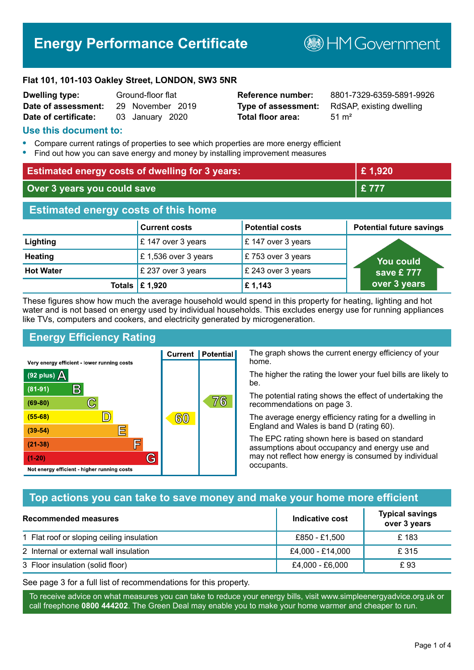# **Energy Performance Certificate**

**B**HM Government

#### **Flat 101, 101-103 Oakley Street, LONDON, SW3 5NR**

| <b>Dwelling type:</b> | Ground-floor flat |                  |  |
|-----------------------|-------------------|------------------|--|
| Date of assessment:   |                   | 29 November 2019 |  |
| Date of certificate:  |                   | 03 January 2020  |  |

# **Total floor area:** 51 m<sup>2</sup>

**Reference number:** 8801-7329-6359-5891-9926 **Type of assessment:** RdSAP, existing dwelling

#### **Use this document to:**

- **•** Compare current ratings of properties to see which properties are more energy efficient
- **•** Find out how you can save energy and money by installing improvement measures

| <b>Estimated energy costs of dwelling for 3 years:</b> |                           |                        | £1,920                          |
|--------------------------------------------------------|---------------------------|------------------------|---------------------------------|
| Over 3 years you could save                            |                           |                        | £777                            |
| <b>Estimated energy costs of this home</b>             |                           |                        |                                 |
|                                                        | <b>Current costs</b>      | <b>Potential costs</b> | <b>Potential future savings</b> |
| Lighting                                               | £147 over 3 years         | £147 over 3 years      |                                 |
| <b>Heating</b>                                         | £1,536 over 3 years       | £753 over 3 years      | You could                       |
| <b>Hot Water</b>                                       | £ 237 over 3 years        | £ 243 over 3 years     | save £777                       |
|                                                        | Totals $\mathsf{E}$ 1,920 | £1,143                 | over 3 years                    |

These figures show how much the average household would spend in this property for heating, lighting and hot water and is not based on energy used by individual households. This excludes energy use for running appliances like TVs, computers and cookers, and electricity generated by microgeneration.

**Current | Potential** 

 $60$ 

# **Energy Efficiency Rating**

 $\mathbb{C}$ 

 $\mathbb{D}$ 

E

庐

G

Very energy efficient - lower running costs

R

Not energy efficient - higher running costs

 $(92$  plus)

 $(81 - 91)$ 

 $(69 - 80)$ 

 $(55-68)$ 

 $(39 - 54)$ 

 $(21-38)$ 

 $(1-20)$ 

- 70

The graph shows the current energy efficiency of your home.

The higher the rating the lower your fuel bills are likely to be.

The potential rating shows the effect of undertaking the recommendations on page 3.

The average energy efficiency rating for a dwelling in England and Wales is band D (rating 60).

The EPC rating shown here is based on standard assumptions about occupancy and energy use and may not reflect how energy is consumed by individual occupants.

# **Top actions you can take to save money and make your home more efficient**

76

| Recommended measures                      | Indicative cost  | <b>Typical savings</b><br>over 3 years |
|-------------------------------------------|------------------|----------------------------------------|
| 1 Flat roof or sloping ceiling insulation | £850 - £1,500    | £183                                   |
| 2 Internal or external wall insulation    | £4,000 - £14,000 | £ 315                                  |
| 3 Floor insulation (solid floor)          | £4,000 - £6,000  | £93                                    |

See page 3 for a full list of recommendations for this property.

To receive advice on what measures you can take to reduce your energy bills, visit www.simpleenergyadvice.org.uk or call freephone **0800 444202**. The Green Deal may enable you to make your home warmer and cheaper to run.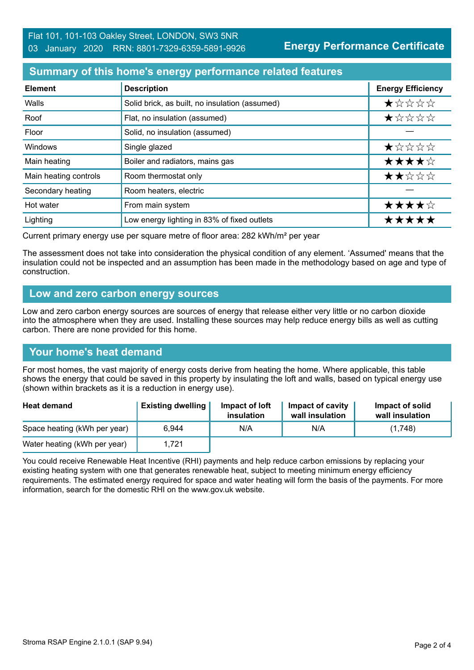**Energy Performance Certificate**

## **Summary of this home's energy performance related features**

| <b>Element</b>        | <b>Description</b>                             | <b>Energy Efficiency</b> |
|-----------------------|------------------------------------------------|--------------------------|
| Walls                 | Solid brick, as built, no insulation (assumed) | *****                    |
| Roof                  | Flat, no insulation (assumed)                  | *****                    |
| Floor                 | Solid, no insulation (assumed)                 |                          |
| Windows               | Single glazed                                  | *****                    |
| Main heating          | Boiler and radiators, mains gas                | ★★★★☆                    |
| Main heating controls | Room thermostat only                           | ★★☆☆☆                    |
| Secondary heating     | Room heaters, electric                         |                          |
| Hot water             | From main system                               | ★★★★☆                    |
| Lighting              | Low energy lighting in 83% of fixed outlets    | *****                    |

Current primary energy use per square metre of floor area: 282 kWh/m² per year

The assessment does not take into consideration the physical condition of any element. 'Assumed' means that the insulation could not be inspected and an assumption has been made in the methodology based on age and type of construction.

#### **Low and zero carbon energy sources**

Low and zero carbon energy sources are sources of energy that release either very little or no carbon dioxide into the atmosphere when they are used. Installing these sources may help reduce energy bills as well as cutting carbon. There are none provided for this home.

# **Your home's heat demand**

For most homes, the vast majority of energy costs derive from heating the home. Where applicable, this table shows the energy that could be saved in this property by insulating the loft and walls, based on typical energy use (shown within brackets as it is a reduction in energy use).

| <b>Heat demand</b>           | <b>Existing dwelling</b> | Impact of loft<br>insulation | Impact of cavity<br>wall insulation | Impact of solid<br>wall insulation |
|------------------------------|--------------------------|------------------------------|-------------------------------------|------------------------------------|
| Space heating (kWh per year) | 6.944                    | N/A                          | N/A                                 | (1,748)                            |
| Water heating (kWh per year) | 1.721                    |                              |                                     |                                    |

You could receive Renewable Heat Incentive (RHI) payments and help reduce carbon emissions by replacing your existing heating system with one that generates renewable heat, subject to meeting minimum energy efficiency requirements. The estimated energy required for space and water heating will form the basis of the payments. For more information, search for the domestic RHI on the www.gov.uk website.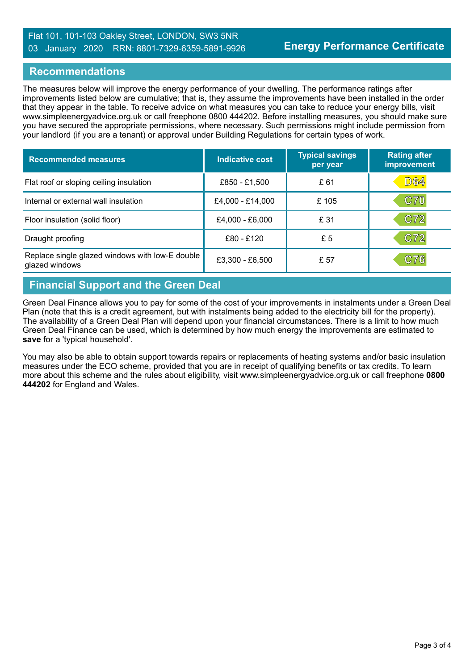#### Flat 101, 101-103 Oakley Street, LONDON, SW3 5NR 03 January 2020 RRN: 8801-7329-6359-5891-9926

#### **Recommendations**

The measures below will improve the energy performance of your dwelling. The performance ratings after improvements listed below are cumulative; that is, they assume the improvements have been installed in the order that they appear in the table. To receive advice on what measures you can take to reduce your energy bills, visit www.simpleenergyadvice.org.uk or call freephone 0800 444202. Before installing measures, you should make sure you have secured the appropriate permissions, where necessary. Such permissions might include permission from your landlord (if you are a tenant) or approval under Building Regulations for certain types of work.

| <b>Recommended measures</b>                                       | Indicative cost  | <b>Typical savings</b><br>per year | <b>Rating after</b><br>improvement |
|-------------------------------------------------------------------|------------------|------------------------------------|------------------------------------|
| Flat roof or sloping ceiling insulation                           | £850 - £1,500    | £61                                | <b>D64</b>                         |
| Internal or external wall insulation                              | £4,000 - £14,000 | £105                               | <b>C70</b>                         |
| Floor insulation (solid floor)                                    | £4,000 - £6,000  | £ 31                               | C72                                |
| Draught proofing                                                  | £80 - £120       | £5                                 | C72                                |
| Replace single glazed windows with low-E double<br>glazed windows | £3,300 - £6,500  | £ 57                               | C76                                |

# **Financial Support and the Green Deal**

Green Deal Finance allows you to pay for some of the cost of your improvements in instalments under a Green Deal Plan (note that this is a credit agreement, but with instalments being added to the electricity bill for the property). The availability of a Green Deal Plan will depend upon your financial circumstances. There is a limit to how much Green Deal Finance can be used, which is determined by how much energy the improvements are estimated to **save** for a 'typical household'.

You may also be able to obtain support towards repairs or replacements of heating systems and/or basic insulation measures under the ECO scheme, provided that you are in receipt of qualifying benefits or tax credits. To learn more about this scheme and the rules about eligibility, visit www.simpleenergyadvice.org.uk or call freephone **0800 444202** for England and Wales.